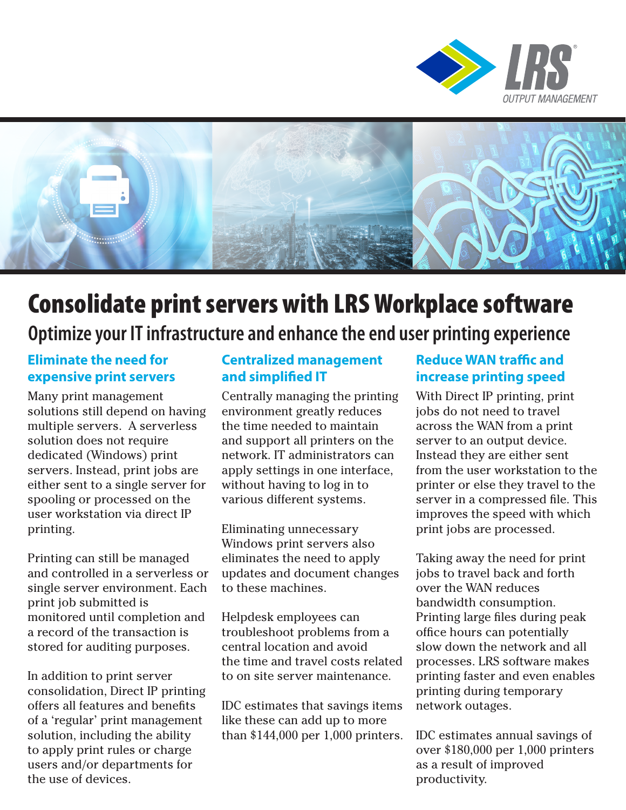



# Consolidate print servers with LRS Workplace software

## **Optimize your IT infrastructure and enhance the end user printing experience**

#### **Eliminate the need for expensive print servers**

Many print management solutions still depend on having multiple servers. A serverless solution does not require dedicated (Windows) print servers. Instead, print jobs are either sent to a single server for spooling or processed on the user workstation via direct IP printing.

Printing can still be managed and controlled in a serverless or single server environment. Each print job submitted is monitored until completion and a record of the transaction is stored for auditing purposes.

In addition to print server consolidation, Direct IP printing offers all features and benefits of a 'regular' print management solution, including the ability to apply print rules or charge users and/or departments for the use of devices.

#### **Centralized management and simplified IT**

Centrally managing the printing environment greatly reduces the time needed to maintain and support all printers on the network. IT administrators can apply settings in one interface, without having to log in to various different systems.

Eliminating unnecessary Windows print servers also eliminates the need to apply updates and document changes to these machines.

Helpdesk employees can troubleshoot problems from a central location and avoid the time and travel costs related to on site server maintenance.

IDC estimates that savings items like these can add up to more than \$144,000 per 1,000 printers.

#### **Reduce WAN traffic and increase printing speed**

With Direct IP printing, print jobs do not need to travel across the WAN from a print server to an output device. Instead they are either sent from the user workstation to the printer or else they travel to the server in a compressed file. This improves the speed with which print jobs are processed.

Taking away the need for print jobs to travel back and forth over the WAN reduces bandwidth consumption. Printing large files during peak office hours can potentially slow down the network and all processes. LRS software makes printing faster and even enables printing during temporary network outages.

IDC estimates annual savings of over \$180,000 per 1,000 printers as a result of improved productivity.